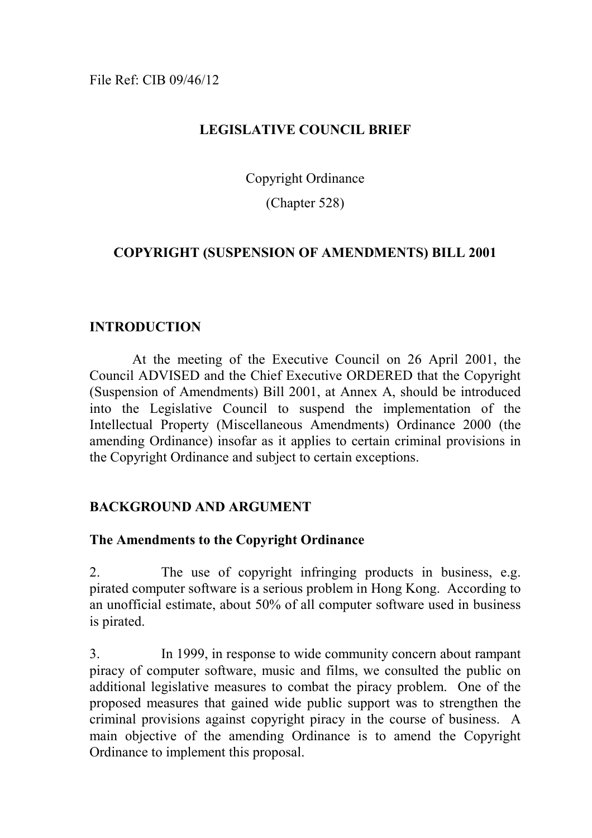File Ref: CIB 09/46/12

# **LEGISLATIVE COUNCIL BRIEF**

Copyright Ordinance

(Chapter 528)

# **COPYRIGHT (SUSPENSION OF AMENDMENTS) BILL 2001**

# **INTRODUCTION**

 At the meeting of the Executive Council on 26 April 2001, the Council ADVISED and the Chief Executive ORDERED that the Copyright (Suspension of Amendments) Bill 2001, at Annex A, should be introduced into the Legislative Council to suspend the implementation of the Intellectual Property (Miscellaneous Amendments) Ordinance 2000 (the amending Ordinance) insofar as it applies to certain criminal provisions in the Copyright Ordinance and subject to certain exceptions.

# **BACKGROUND AND ARGUMENT**

# **The Amendments to the Copyright Ordinance**

2. The use of copyright infringing products in business, e.g. pirated computer software is a serious problem in Hong Kong. According to an unofficial estimate, about 50% of all computer software used in business is pirated.

3. In 1999, in response to wide community concern about rampant piracy of computer software, music and films, we consulted the public on additional legislative measures to combat the piracy problem. One of the proposed measures that gained wide public support was to strengthen the criminal provisions against copyright piracy in the course of business. A main objective of the amending Ordinance is to amend the Copyright Ordinance to implement this proposal.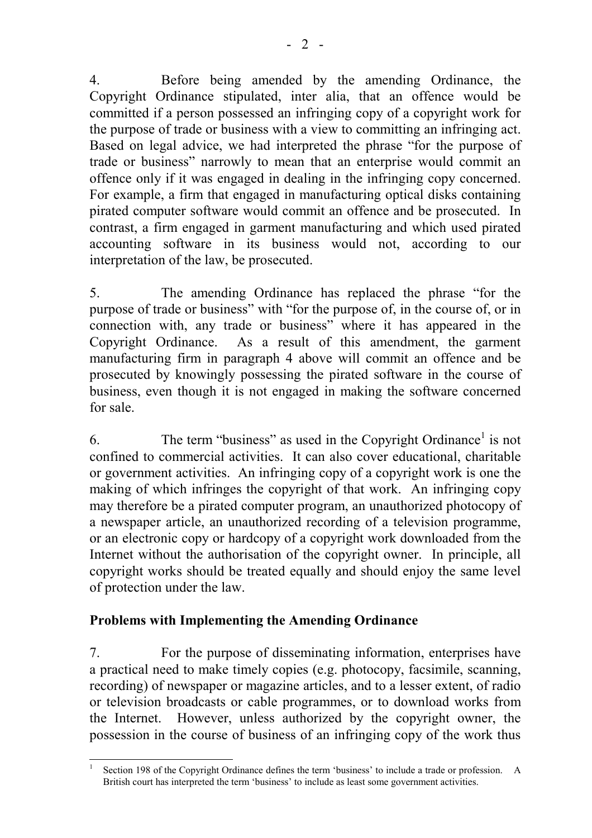4. Before being amended by the amending Ordinance, the Copyright Ordinance stipulated, inter alia, that an offence would be committed if a person possessed an infringing copy of a copyright work for the purpose of trade or business with a view to committing an infringing act. Based on legal advice, we had interpreted the phrase "for the purpose of trade or business" narrowly to mean that an enterprise would commit an offence only if it was engaged in dealing in the infringing copy concerned. For example, a firm that engaged in manufacturing optical disks containing pirated computer software would commit an offence and be prosecuted. In contrast, a firm engaged in garment manufacturing and which used pirated accounting software in its business would not, according to our interpretation of the law, be prosecuted.

5. The amending Ordinance has replaced the phrase "for the purpose of trade or business" with "for the purpose of, in the course of, or in connection with, any trade or business" where it has appeared in the Copyright Ordinance. As a result of this amendment, the garment manufacturing firm in paragraph 4 above will commit an offence and be prosecuted by knowingly possessing the pirated software in the course of business, even though it is not engaged in making the software concerned for sale.

6. The term "business" as used in the Copyright Ordinance<sup>1</sup> is not confined to commercial activities. It can also cover educational, charitable or government activities. An infringing copy of a copyright work is one the making of which infringes the copyright of that work. An infringing copy may therefore be a pirated computer program, an unauthorized photocopy of a newspaper article, an unauthorized recording of a television programme, or an electronic copy or hardcopy of a copyright work downloaded from the Internet without the authorisation of the copyright owner. In principle, all copyright works should be treated equally and should enjoy the same level of protection under the law.

# **Problems with Implementing the Amending Ordinance**

7. For the purpose of disseminating information, enterprises have a practical need to make timely copies (e.g. photocopy, facsimile, scanning, recording) of newspaper or magazine articles, and to a lesser extent, of radio or television broadcasts or cable programmes, or to download works from the Internet. However, unless authorized by the copyright owner, the possession in the course of business of an infringing copy of the work thus

 $\overline{a}$ 1 Section 198 of the Copyright Ordinance defines the term 'business' to include a trade or profession. A British court has interpreted the term 'business' to include as least some government activities.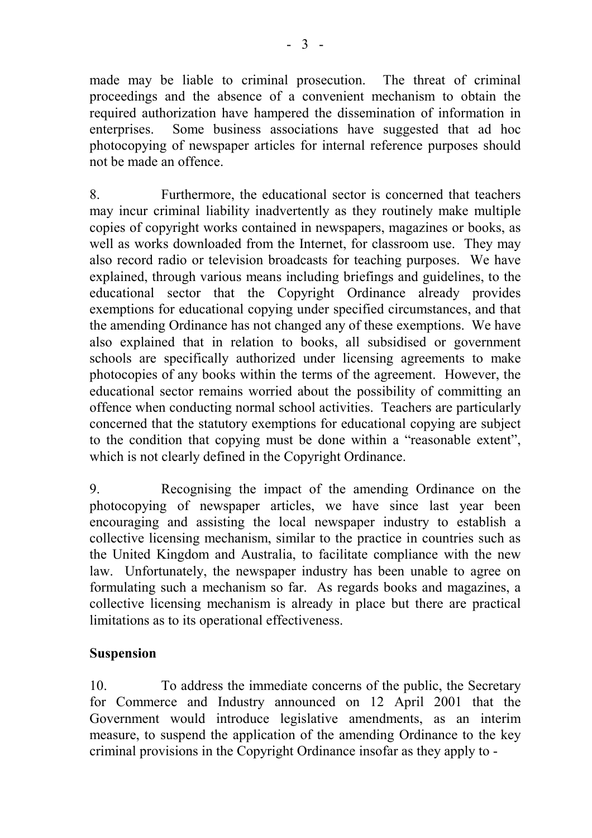made may be liable to criminal prosecution. The threat of criminal proceedings and the absence of a convenient mechanism to obtain the required authorization have hampered the dissemination of information in enterprises. Some business associations have suggested that ad hoc photocopying of newspaper articles for internal reference purposes should not be made an offence.

8. Furthermore, the educational sector is concerned that teachers may incur criminal liability inadvertently as they routinely make multiple copies of copyright works contained in newspapers, magazines or books, as well as works downloaded from the Internet, for classroom use. They may also record radio or television broadcasts for teaching purposes. We have explained, through various means including briefings and guidelines, to the educational sector that the Copyright Ordinance already provides exemptions for educational copying under specified circumstances, and that the amending Ordinance has not changed any of these exemptions. We have also explained that in relation to books, all subsidised or government schools are specifically authorized under licensing agreements to make photocopies of any books within the terms of the agreement. However, the educational sector remains worried about the possibility of committing an offence when conducting normal school activities. Teachers are particularly concerned that the statutory exemptions for educational copying are subject to the condition that copying must be done within a "reasonable extent", which is not clearly defined in the Copyright Ordinance.

9. Recognising the impact of the amending Ordinance on the photocopying of newspaper articles, we have since last year been encouraging and assisting the local newspaper industry to establish a collective licensing mechanism, similar to the practice in countries such as the United Kingdom and Australia, to facilitate compliance with the new law. Unfortunately, the newspaper industry has been unable to agree on formulating such a mechanism so far. As regards books and magazines, a collective licensing mechanism is already in place but there are practical limitations as to its operational effectiveness.

# **Suspension**

10. To address the immediate concerns of the public, the Secretary for Commerce and Industry announced on 12 April 2001 that the Government would introduce legislative amendments, as an interim measure, to suspend the application of the amending Ordinance to the key criminal provisions in the Copyright Ordinance insofar as they apply to -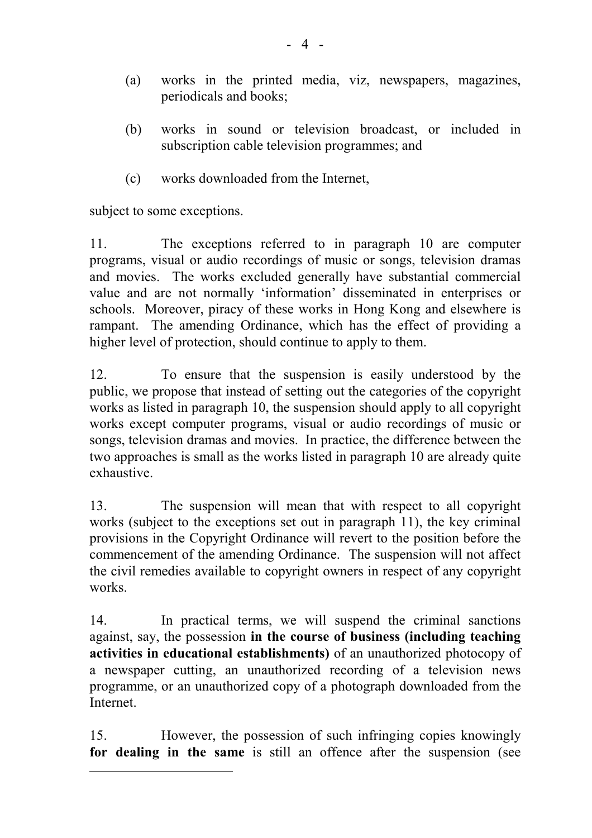- (a) works in the printed media, viz, newspapers, magazines, periodicals and books;
- (b) works in sound or television broadcast, or included in subscription cable television programmes; and
- (c) works downloaded from the Internet,

subject to some exceptions.

 $\overline{\phantom{a}}$ 

11. The exceptions referred to in paragraph 10 are computer programs, visual or audio recordings of music or songs, television dramas and movies. The works excluded generally have substantial commercial value and are not normally 'information' disseminated in enterprises or schools. Moreover, piracy of these works in Hong Kong and elsewhere is rampant. The amending Ordinance, which has the effect of providing a higher level of protection, should continue to apply to them.

12. To ensure that the suspension is easily understood by the public, we propose that instead of setting out the categories of the copyright works as listed in paragraph 10, the suspension should apply to all copyright works except computer programs, visual or audio recordings of music or songs, television dramas and movies. In practice, the difference between the two approaches is small as the works listed in paragraph 10 are already quite exhaustive.

13. The suspension will mean that with respect to all copyright works (subject to the exceptions set out in paragraph 11), the key criminal provisions in the Copyright Ordinance will revert to the position before the commencement of the amending Ordinance. The suspension will not affect the civil remedies available to copyright owners in respect of any copyright works.

14. In practical terms, we will suspend the criminal sanctions against, say, the possession **in the course of business (including teaching activities in educational establishments)** of an unauthorized photocopy of a newspaper cutting, an unauthorized recording of a television news programme, or an unauthorized copy of a photograph downloaded from the Internet.

15. However, the possession of such infringing copies knowingly **for dealing in the same** is still an offence after the suspension (see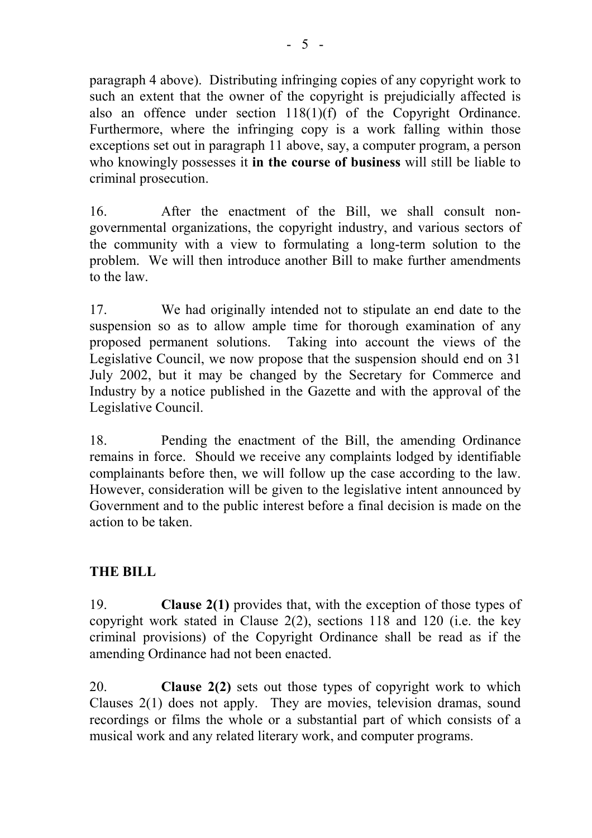paragraph 4 above). Distributing infringing copies of any copyright work to such an extent that the owner of the copyright is prejudicially affected is also an offence under section 118(1)(f) of the Copyright Ordinance. Furthermore, where the infringing copy is a work falling within those exceptions set out in paragraph 11 above, say, a computer program, a person who knowingly possesses it **in the course of business** will still be liable to criminal prosecution.

16. After the enactment of the Bill, we shall consult nongovernmental organizations, the copyright industry, and various sectors of the community with a view to formulating a long-term solution to the problem. We will then introduce another Bill to make further amendments to the law.

17. We had originally intended not to stipulate an end date to the suspension so as to allow ample time for thorough examination of any proposed permanent solutions. Taking into account the views of the Legislative Council, we now propose that the suspension should end on 31 July 2002, but it may be changed by the Secretary for Commerce and Industry by a notice published in the Gazette and with the approval of the Legislative Council.

18. Pending the enactment of the Bill, the amending Ordinance remains in force. Should we receive any complaints lodged by identifiable complainants before then, we will follow up the case according to the law. However, consideration will be given to the legislative intent announced by Government and to the public interest before a final decision is made on the action to be taken.

# **THE BILL**

19. **Clause 2(1)** provides that, with the exception of those types of copyright work stated in Clause 2(2), sections 118 and 120 (i.e. the key criminal provisions) of the Copyright Ordinance shall be read as if the amending Ordinance had not been enacted.

20. **Clause 2(2)** sets out those types of copyright work to which Clauses 2(1) does not apply.They are movies, television dramas, sound recordings or films the whole or a substantial part of which consists of a musical work and any related literary work, and computer programs.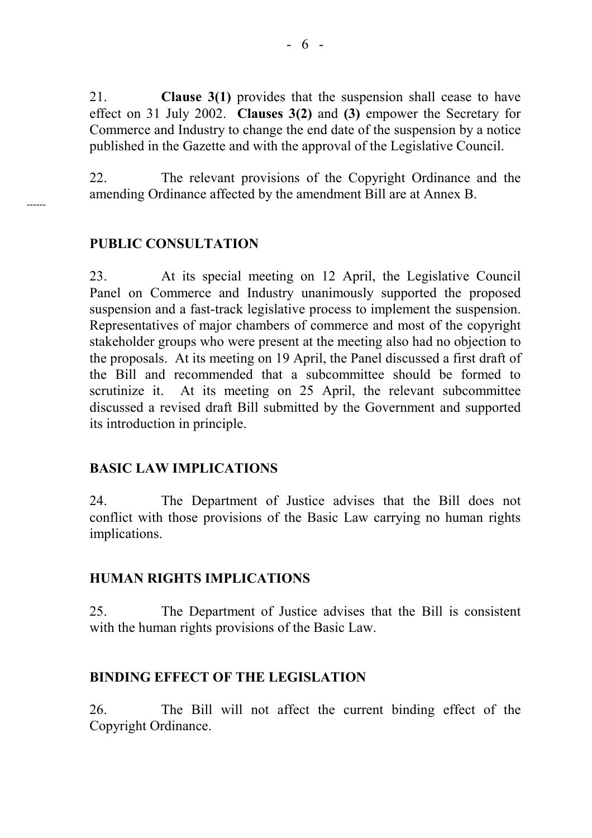21. **Clause 3(1)** provides that the suspension shall cease to have effect on 31 July 2002. **Clauses 3(2)** and **(3)** empower the Secretary for Commerce and Industry to change the end date of the suspension by a notice published in the Gazette and with the approval of the Legislative Council.

22. The relevant provisions of the Copyright Ordinance and the amending Ordinance affected by the amendment Bill are at Annex B.

## **PUBLIC CONSULTATION**

------

23. At its special meeting on 12 April, the Legislative Council Panel on Commerce and Industry unanimously supported the proposed suspension and a fast-track legislative process to implement the suspension. Representatives of major chambers of commerce and most of the copyright stakeholder groups who were present at the meeting also had no objection to the proposals. At its meeting on 19 April, the Panel discussed a first draft of the Bill and recommended that a subcommittee should be formed to scrutinize it. At its meeting on 25 April, the relevant subcommittee discussed a revised draft Bill submitted by the Government and supported its introduction in principle.

## **BASIC LAW IMPLICATIONS**

24. The Department of Justice advises that the Bill does not conflict with those provisions of the Basic Law carrying no human rights implications.

## **HUMAN RIGHTS IMPLICATIONS**

25. The Department of Justice advises that the Bill is consistent with the human rights provisions of the Basic Law.

## **BINDING EFFECT OF THE LEGISLATION**

26. The Bill will not affect the current binding effect of the Copyright Ordinance.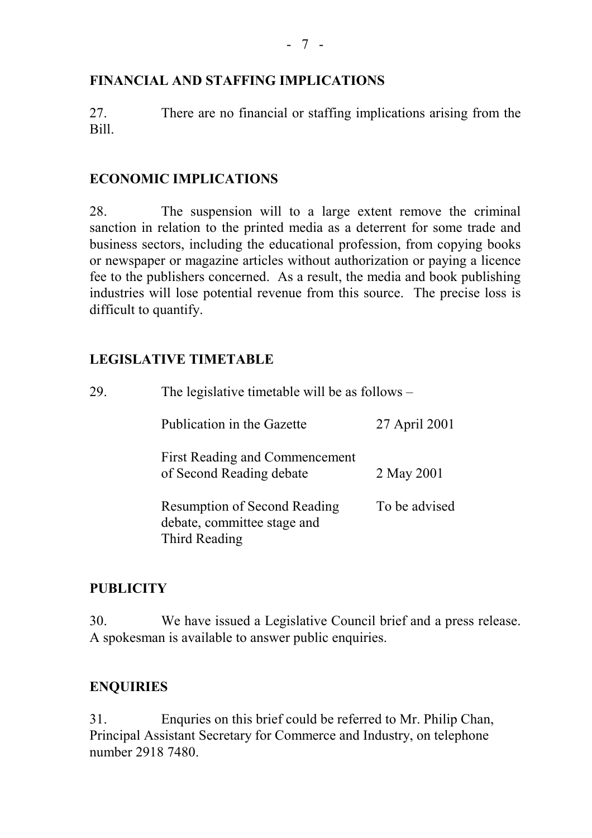# **FINANCIAL AND STAFFING IMPLICATIONS**

27. There are no financial or staffing implications arising from the Bill.

# **ECONOMIC IMPLICATIONS**

28. The suspension will to a large extent remove the criminal sanction in relation to the printed media as a deterrent for some trade and business sectors, including the educational profession, from copying books or newspaper or magazine articles without authorization or paying a licence fee to the publishers concerned. As a result, the media and book publishing industries will lose potential revenue from this source. The precise loss is difficult to quantify.

# **LEGISLATIVE TIMETABLE**

| 29. | The legislative timetable will be as follows $-$                                    |               |  |  |
|-----|-------------------------------------------------------------------------------------|---------------|--|--|
|     | Publication in the Gazette                                                          | 27 April 2001 |  |  |
|     | <b>First Reading and Commencement</b><br>of Second Reading debate                   | 2 May 2001    |  |  |
|     | <b>Resumption of Second Reading</b><br>debate, committee stage and<br>Third Reading | To be advised |  |  |

# **PUBLICITY**

30. We have issued a Legislative Council brief and a press release. A spokesman is available to answer public enquiries.

# **ENQUIRIES**

31. Enquries on this brief could be referred to Mr. Philip Chan, Principal Assistant Secretary for Commerce and Industry, on telephone number 2918 7480.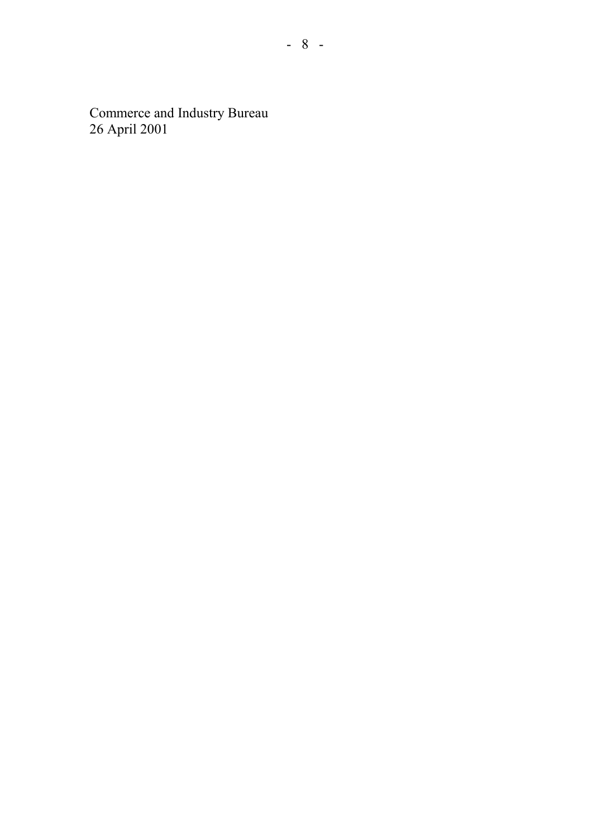Commerce and Industry Bureau 26 April 2001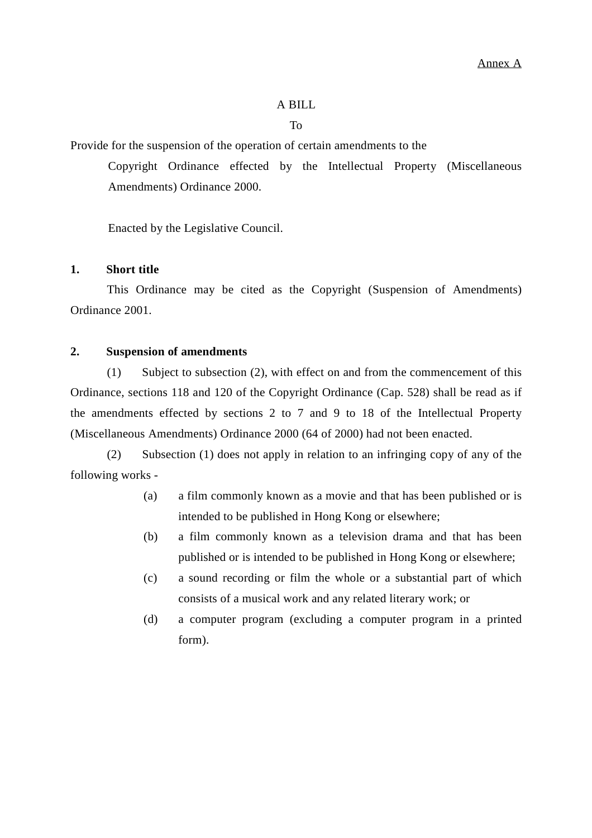### A BILL

To

Provide for the suspension of the operation of certain amendments to the

Copyright Ordinance effected by the Intellectual Property (Miscellaneous Amendments) Ordinance 2000.

Enacted by the Legislative Council.

#### **1. Short title**

This Ordinance may be cited as the Copyright (Suspension of Amendments) Ordinance 2001.

#### **2. Suspension of amendments**

(1) Subject to subsection (2), with effect on and from the commencement of this Ordinance, sections 118 and 120 of the Copyright Ordinance (Cap. 528) shall be read as if the amendments effected by sections 2 to 7 and 9 to 18 of the Intellectual Property (Miscellaneous Amendments) Ordinance 2000 (64 of 2000) had not been enacted.

(2) Subsection (1) does not apply in relation to an infringing copy of any of the following works -

- (a) a film commonly known as a movie and that has been published or is intended to be published in Hong Kong or elsewhere;
- (b) a film commonly known as a television drama and that has been published or is intended to be published in Hong Kong or elsewhere;
- (c) a sound recording or film the whole or a substantial part of which consists of a musical work and any related literary work; or
- (d) a computer program (excluding a computer program in a printed form).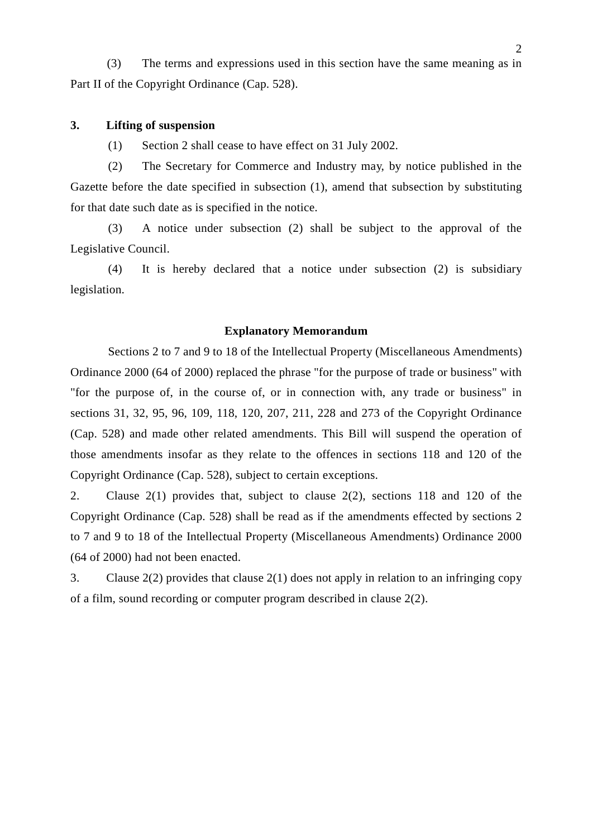(3) The terms and expressions used in this section have the same meaning as in Part II of the Copyright Ordinance (Cap. 528).

### **3. Lifting of suspension**

(1) Section 2 shall cease to have effect on 31 July 2002.

(2) The Secretary for Commerce and Industry may, by notice published in the Gazette before the date specified in subsection (1), amend that subsection by substituting for that date such date as is specified in the notice.

(3) A notice under subsection (2) shall be subject to the approval of the Legislative Council.

(4) It is hereby declared that a notice under subsection (2) is subsidiary legislation.

#### **Explanatory Memorandum**

Sections 2 to 7 and 9 to 18 of the Intellectual Property (Miscellaneous Amendments) Ordinance 2000 (64 of 2000) replaced the phrase "for the purpose of trade or business" with "for the purpose of, in the course of, or in connection with, any trade or business" in sections 31, 32, 95, 96, 109, 118, 120, 207, 211, 228 and 273 of the Copyright Ordinance (Cap. 528) and made other related amendments. This Bill will suspend the operation of those amendments insofar as they relate to the offences in sections 118 and 120 of the Copyright Ordinance (Cap. 528), subject to certain exceptions.

2. Clause 2(1) provides that, subject to clause 2(2), sections 118 and 120 of the Copyright Ordinance (Cap. 528) shall be read as if the amendments effected by sections 2 to 7 and 9 to 18 of the Intellectual Property (Miscellaneous Amendments) Ordinance 2000 (64 of 2000) had not been enacted.

3. Clause 2(2) provides that clause 2(1) does not apply in relation to an infringing copy of a film, sound recording or computer program described in clause 2(2).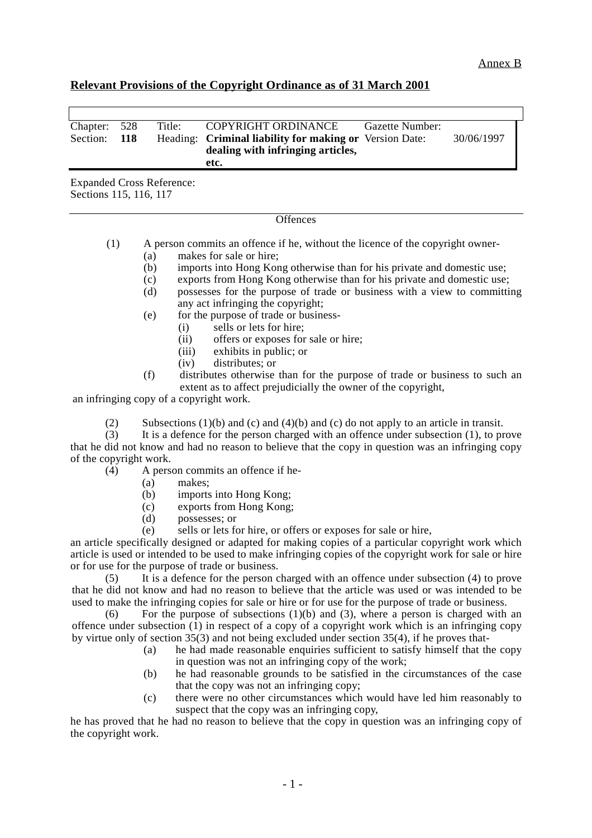### **Relevant Provisions of the Copyright Ordinance as of 31 March 2001**

| Chapter: 528 | Title: | COPYRIGHT ORDINANCE                                     | Gazette Number: |            |
|--------------|--------|---------------------------------------------------------|-----------------|------------|
| Section: 118 |        | Heading: Criminal liability for making or Version Date: |                 | 30/06/1997 |
|              |        | dealing with infringing articles,                       |                 |            |
|              |        | etc.                                                    |                 |            |

Expanded Cross Reference: Sections 115, 116, 117

#### **Offences**

- (1) A person commits an offence if he, without the licence of the copyright owner-
	- (a) makes for sale or hire;
	- (b) imports into Hong Kong otherwise than for his private and domestic use;
	- (c) exports from Hong Kong otherwise than for his private and domestic use;
	- (d) possesses for the purpose of trade or business with a view to committing any act infringing the copyright;
	- (e) for the purpose of trade or business-
		- (i) sells or lets for hire;
		- (ii) offers or exposes for sale or hire;
		- (iii) exhibits in public; or
		- (iv) distributes; or
	- (f) distributes otherwise than for the purpose of trade or business to such an extent as to affect prejudicially the owner of the copyright,

an infringing copy of a copyright work.

(2) Subsections (1)(b) and (c) and (4)(b) and (c) do not apply to an article in transit.

(3) It is a defence for the person charged with an offence under subsection (1), to prove that he did not know and had no reason to believe that the copy in question was an infringing copy of the copyright work.

- (4) A person commits an offence if he-
	- (a) makes;
	- (b) imports into Hong Kong;
	- (c) exports from Hong Kong;
	- (d) possesses; or
	- (e) sells or lets for hire, or offers or exposes for sale or hire,

an article specifically designed or adapted for making copies of a particular copyright work which article is used or intended to be used to make infringing copies of the copyright work for sale or hire or for use for the purpose of trade or business.

(5) It is a defence for the person charged with an offence under subsection (4) to prove that he did not know and had no reason to believe that the article was used or was intended to be used to make the infringing copies for sale or hire or for use for the purpose of trade or business.

(6) For the purpose of subsections (1)(b) and (3), where a person is charged with an offence under subsection  $(1)$  in respect of a copy of a copyright work which is an infringing copy by virtue only of section 35(3) and not being excluded under section 35(4), if he proves that-

- (a) he had made reasonable enquiries sufficient to satisfy himself that the copy in question was not an infringing copy of the work;
- (b) he had reasonable grounds to be satisfied in the circumstances of the case that the copy was not an infringing copy;
- (c) there were no other circumstances which would have led him reasonably to suspect that the copy was an infringing copy,

he has proved that he had no reason to believe that the copy in question was an infringing copy of the copyright work.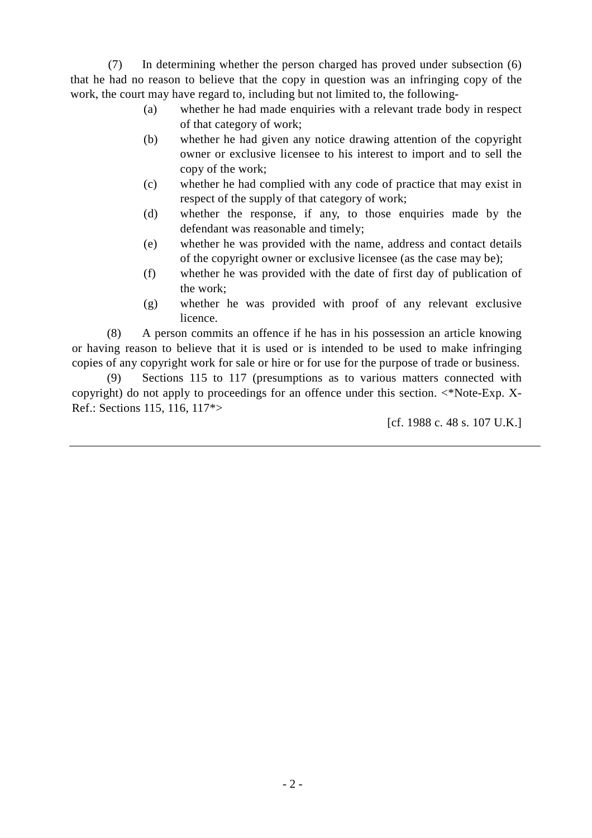(7) In determining whether the person charged has proved under subsection (6) that he had no reason to believe that the copy in question was an infringing copy of the work, the court may have regard to, including but not limited to, the following-

- (a) whether he had made enquiries with a relevant trade body in respect of that category of work;
- (b) whether he had given any notice drawing attention of the copyright owner or exclusive licensee to his interest to import and to sell the copy of the work;
- (c) whether he had complied with any code of practice that may exist in respect of the supply of that category of work;
- (d) whether the response, if any, to those enquiries made by the defendant was reasonable and timely;
- (e) whether he was provided with the name, address and contact details of the copyright owner or exclusive licensee (as the case may be);
- (f) whether he was provided with the date of first day of publication of the work;
- (g) whether he was provided with proof of any relevant exclusive licence.

(8) A person commits an offence if he has in his possession an article knowing or having reason to believe that it is used or is intended to be used to make infringing copies of any copyright work for sale or hire or for use for the purpose of trade or business.

(9) Sections 115 to 117 (presumptions as to various matters connected with copyright) do not apply to proceedings for an offence under this section. <\*Note-Exp. X-Ref.: Sections 115, 116, 117\*>

[cf. 1988 c. 48 s. 107 U.K.]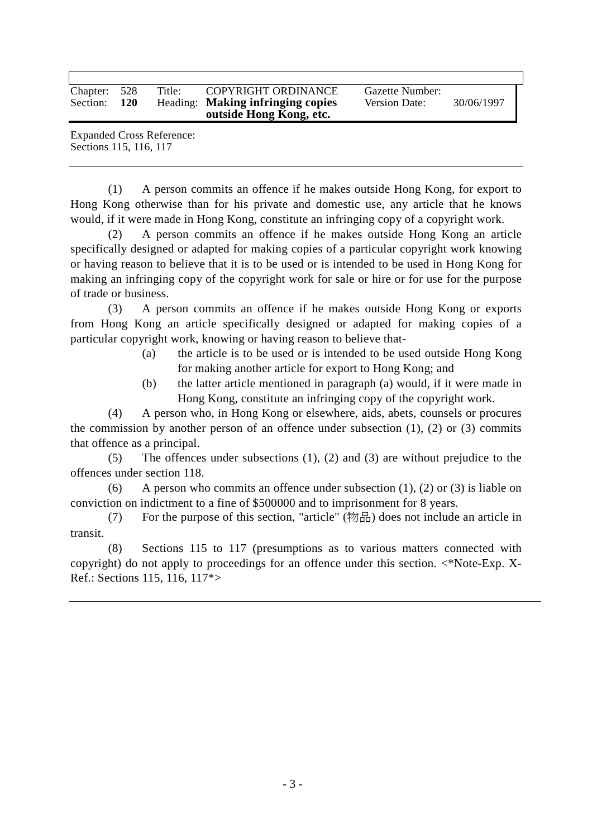| Chapter: 528   |            | Title: | COPYRIGHT ORDINANCE               | <b>Gazette Number:</b> |            |  |
|----------------|------------|--------|-----------------------------------|------------------------|------------|--|
| Section:       | <b>120</b> |        | Heading: Making infringing copies | <b>Version Date:</b>   | 30/06/1997 |  |
|                |            |        | outside Hong Kong, etc.           |                        |            |  |
| $\blacksquare$ |            |        |                                   |                        |            |  |

Expanded Cross Reference: Sections 115, 116, 117

(1) A person commits an offence if he makes outside Hong Kong, for export to Hong Kong otherwise than for his private and domestic use, any article that he knows would, if it were made in Hong Kong, constitute an infringing copy of a copyright work.

(2) A person commits an offence if he makes outside Hong Kong an article specifically designed or adapted for making copies of a particular copyright work knowing or having reason to believe that it is to be used or is intended to be used in Hong Kong for making an infringing copy of the copyright work for sale or hire or for use for the purpose of trade or business.

(3) A person commits an offence if he makes outside Hong Kong or exports from Hong Kong an article specifically designed or adapted for making copies of a particular copyright work, knowing or having reason to believe that-

- (a) the article is to be used or is intended to be used outside Hong Kong for making another article for export to Hong Kong; and
- (b) the latter article mentioned in paragraph (a) would, if it were made in Hong Kong, constitute an infringing copy of the copyright work.

(4) A person who, in Hong Kong or elsewhere, aids, abets, counsels or procures the commission by another person of an offence under subsection  $(1)$ ,  $(2)$  or  $(3)$  commits that offence as a principal.

(5) The offences under subsections (1), (2) and (3) are without prejudice to the offences under section 118.

(6) A person who commits an offence under subsection (1), (2) or (3) is liable on conviction on indictment to a fine of \$500000 and to imprisonment for 8 years.

(7) For the purpose of this section, "article" (物品) does not include an article in transit.

(8) Sections 115 to 117 (presumptions as to various matters connected with copyright) do not apply to proceedings for an offence under this section. <\*Note-Exp. X-Ref.: Sections 115, 116, 117\*>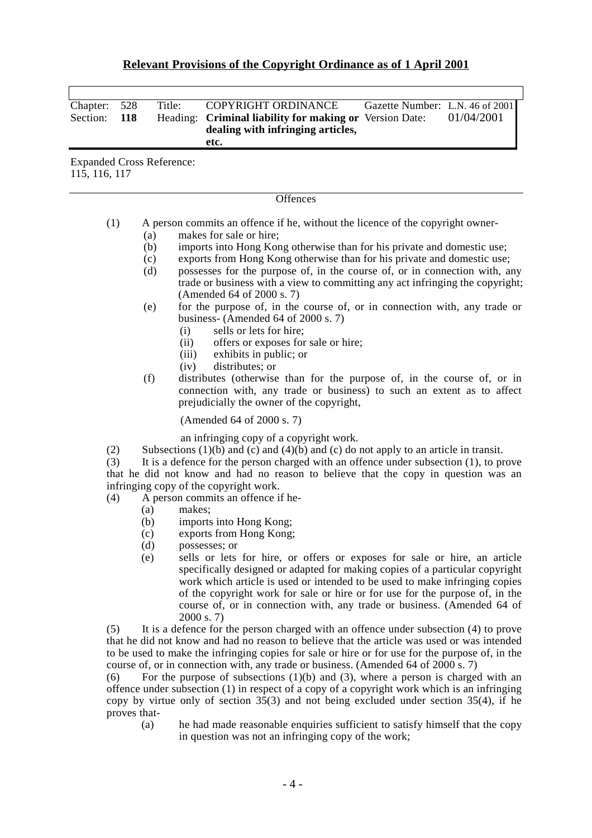# **Relevant Provisions of the Copyright Ordinance as of 1 April 2001**

| Chapter:<br>Section:                                                                | Title:<br>528<br>118                   | Heading:                     | COPYRIGHT ORDINANCE<br><b>Criminal liability for making or Version Date:</b><br>dealing with infringing articles,<br>etc.                                                                                                                                                                                                                                                                                                                                                                                                                                                                                                                                                                                                                                                                                                                                                                        | Gazette Number: L.N. 46 of 2001 | 01/04/2001 |
|-------------------------------------------------------------------------------------|----------------------------------------|------------------------------|--------------------------------------------------------------------------------------------------------------------------------------------------------------------------------------------------------------------------------------------------------------------------------------------------------------------------------------------------------------------------------------------------------------------------------------------------------------------------------------------------------------------------------------------------------------------------------------------------------------------------------------------------------------------------------------------------------------------------------------------------------------------------------------------------------------------------------------------------------------------------------------------------|---------------------------------|------------|
| <b>Expanded Cross Reference:</b><br>115, 116, 117                                   |                                        |                              |                                                                                                                                                                                                                                                                                                                                                                                                                                                                                                                                                                                                                                                                                                                                                                                                                                                                                                  |                                 |            |
|                                                                                     |                                        |                              | Offences                                                                                                                                                                                                                                                                                                                                                                                                                                                                                                                                                                                                                                                                                                                                                                                                                                                                                         |                                 |            |
| (1)                                                                                 | (a)<br>(b)<br>(c)<br>(d)<br>(e)<br>(f) | (i)<br>(ii)<br>(iii)<br>(iv) | A person commits an offence if he, without the licence of the copyright owner-<br>makes for sale or hire;<br>imports into Hong Kong otherwise than for his private and domestic use;<br>exports from Hong Kong otherwise than for his private and domestic use;<br>possesses for the purpose of, in the course of, or in connection with, any<br>trade or business with a view to committing any act infringing the copyright;<br>(Amended 64 of 2000 s. 7)<br>for the purpose of, in the course of, or in connection with, any trade or<br>business- (Amended 64 of 2000 s. 7)<br>sells or lets for hire;<br>offers or exposes for sale or hire;<br>exhibits in public; or<br>distributes; or<br>distributes (otherwise than for the purpose of, in the course of, or in<br>connection with, any trade or business) to such an extent as to affect<br>prejudicially the owner of the copyright, |                                 |            |
| (2)<br>(3)<br>infringing copy of the copyright work.<br>(4)<br>makes;<br>(a)<br>(b) |                                        |                              | (Amended 64 of 2000 s. 7)<br>an infringing copy of a copyright work.<br>Subsections $(1)(b)$ and $(c)$ and $(4)(b)$ and $(c)$ do not apply to an article in transit.<br>It is a defence for the person charged with an offence under subsection (1), to prove<br>that he did not know and had no reason to believe that the copy in question was an<br>A person commits an offence if he-<br>imports into Hong Kong;<br>exports from Hong Kong;                                                                                                                                                                                                                                                                                                                                                                                                                                                  |                                 |            |
|                                                                                     | (c)<br>(d)<br>(e)                      | possesses; or<br>2000 s. 7   | sells or lets for hire, or offers or exposes for sale or hire, an article<br>specifically designed or adapted for making copies of a particular copyright<br>work which article is used or intended to be used to make infringing copies<br>of the copyright work for sale or hire or for use for the purpose of, in the<br>course of, or in connection with, any trade or business. (Amended 64 of                                                                                                                                                                                                                                                                                                                                                                                                                                                                                              |                                 |            |
| (5)<br>(6)                                                                          | proves that-                           |                              | It is a defence for the person charged with an offence under subsection (4) to prove<br>that he did not know and had no reason to believe that the article was used or was intended<br>to be used to make the infringing copies for sale or hire or for use for the purpose of, in the<br>course of, or in connection with, any trade or business. (Amended 64 of 2000 s. 7)<br>For the purpose of subsections $(1)(b)$ and $(3)$ , where a person is charged with an<br>offence under subsection (1) in respect of a copy of a copyright work which is an infringing<br>copy by virtue only of section $35(3)$ and not being excluded under section $35(4)$ , if he<br>he had made reasonable enguiries sufficient to setiefy himself that the conve                                                                                                                                            |                                 |            |

(a) he had made reasonable enquiries sufficient to satisfy himself that the copy in question was not an infringing copy of the work;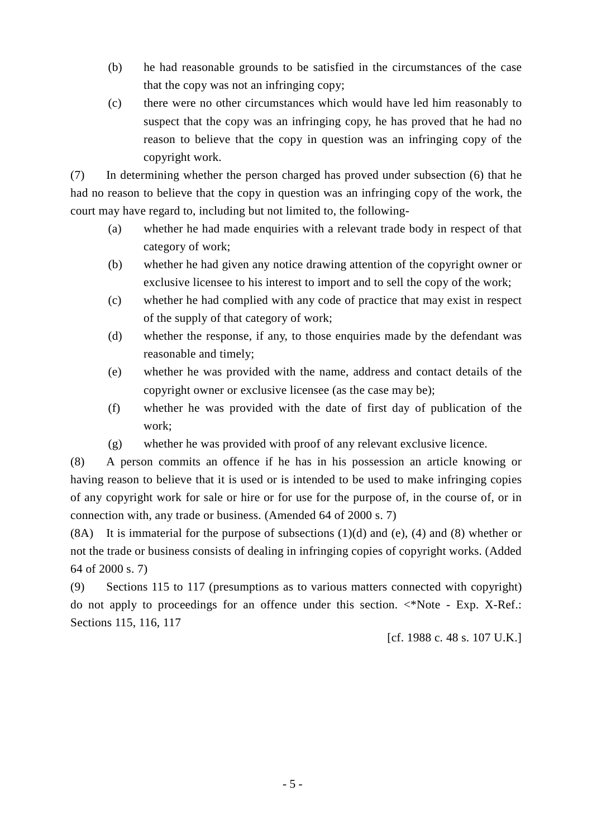- (b) he had reasonable grounds to be satisfied in the circumstances of the case that the copy was not an infringing copy;
- (c) there were no other circumstances which would have led him reasonably to suspect that the copy was an infringing copy, he has proved that he had no reason to believe that the copy in question was an infringing copy of the copyright work.

(7) In determining whether the person charged has proved under subsection (6) that he had no reason to believe that the copy in question was an infringing copy of the work, the court may have regard to, including but not limited to, the following-

- (a) whether he had made enquiries with a relevant trade body in respect of that category of work;
- (b) whether he had given any notice drawing attention of the copyright owner or exclusive licensee to his interest to import and to sell the copy of the work;
- (c) whether he had complied with any code of practice that may exist in respect of the supply of that category of work;
- (d) whether the response, if any, to those enquiries made by the defendant was reasonable and timely;
- (e) whether he was provided with the name, address and contact details of the copyright owner or exclusive licensee (as the case may be);
- (f) whether he was provided with the date of first day of publication of the work;
- (g) whether he was provided with proof of any relevant exclusive licence.

(8) A person commits an offence if he has in his possession an article knowing or having reason to believe that it is used or is intended to be used to make infringing copies of any copyright work for sale or hire or for use for the purpose of, in the course of, or in connection with, any trade or business. (Amended 64 of 2000 s. 7)

 $(8A)$  It is immaterial for the purpose of subsections  $(1)(d)$  and  $(e)$ ,  $(4)$  and  $(8)$  whether or not the trade or business consists of dealing in infringing copies of copyright works. (Added 64 of 2000 s. 7)

(9) Sections 115 to 117 (presumptions as to various matters connected with copyright) do not apply to proceedings for an offence under this section. <\*Note - Exp. X-Ref.: Sections 115, 116, 117

[cf. 1988 c. 48 s. 107 U.K.]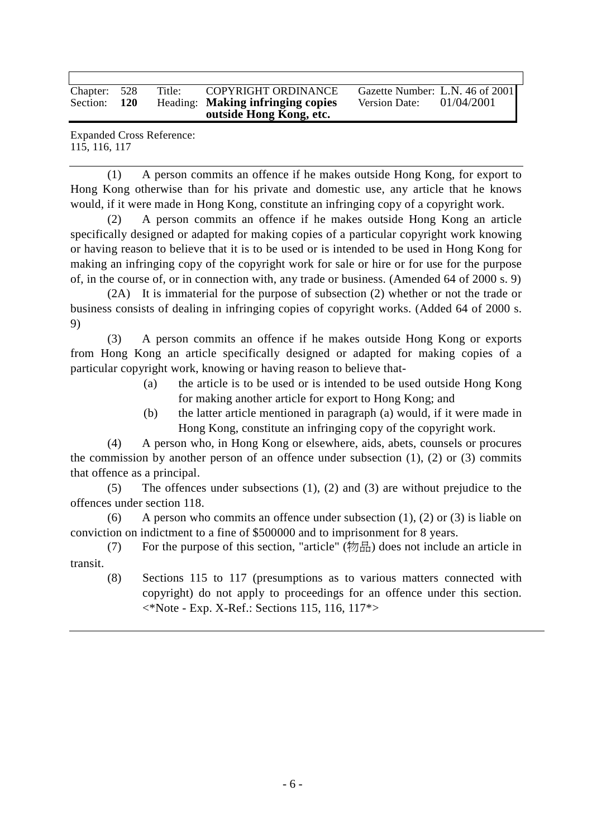| Chapter: 528 | Title: | COPYRIGHT ORDINANCE               |                      | Gazette Number: L.N. 46 of 2001 |
|--------------|--------|-----------------------------------|----------------------|---------------------------------|
| Section: 120 |        | Heading: Making infringing copies | <b>Version Date:</b> | 01/04/2001                      |
|              |        | outside Hong Kong, etc.           |                      |                                 |

Expanded Cross Reference: 115, 116, 117

(1) A person commits an offence if he makes outside Hong Kong, for export to Hong Kong otherwise than for his private and domestic use, any article that he knows would, if it were made in Hong Kong, constitute an infringing copy of a copyright work.

(2) A person commits an offence if he makes outside Hong Kong an article specifically designed or adapted for making copies of a particular copyright work knowing or having reason to believe that it is to be used or is intended to be used in Hong Kong for making an infringing copy of the copyright work for sale or hire or for use for the purpose of, in the course of, or in connection with, any trade or business. (Amended 64 of 2000 s. 9)

(2A) It is immaterial for the purpose of subsection (2) whether or not the trade or business consists of dealing in infringing copies of copyright works. (Added 64 of 2000 s. 9)

(3) A person commits an offence if he makes outside Hong Kong or exports from Hong Kong an article specifically designed or adapted for making copies of a particular copyright work, knowing or having reason to believe that-

- (a) the article is to be used or is intended to be used outside Hong Kong for making another article for export to Hong Kong; and
- (b) the latter article mentioned in paragraph (a) would, if it were made in Hong Kong, constitute an infringing copy of the copyright work.

(4) A person who, in Hong Kong or elsewhere, aids, abets, counsels or procures the commission by another person of an offence under subsection  $(1)$ ,  $(2)$  or  $(3)$  commits that offence as a principal.

(5) The offences under subsections (1), (2) and (3) are without prejudice to the offences under section 118.

(6) A person who commits an offence under subsection (1), (2) or (3) is liable on conviction on indictment to a fine of \$500000 and to imprisonment for 8 years.

(7) For the purpose of this section, "article" (物品) does not include an article in transit.

(8) Sections 115 to 117 (presumptions as to various matters connected with copyright) do not apply to proceedings for an offence under this section. <\*Note - Exp. X-Ref.: Sections 115, 116, 117\*>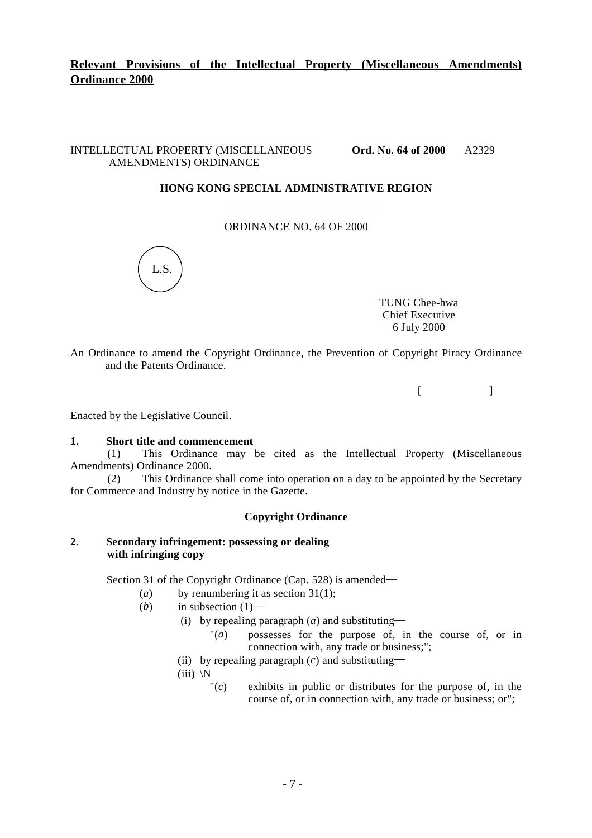### **Relevant Provisions of the Intellectual Property (Miscellaneous Amendments) Ordinance 2000**

#### INTELLECTUAL PROPERTY (MISCELLANEOUS **Ord. No. 64 of 2000** A2329 AMENDMENTS) ORDINANCE

#### **HONG KONG SPECIAL ADMINISTRATIVE REGION**

ORDINANCE NO. 64 OF 2000



TUNG Chee-hwa Chief Executive 6 July 2000

An Ordinance to amend the Copyright Ordinance, the Prevention of Copyright Piracy Ordinance and the Patents Ordinance.

 $[$   $]$ 

Enacted by the Legislative Council.

#### **1. Short title and commencement**

(1) This Ordinance may be cited as the Intellectual Property (Miscellaneous Amendments) Ordinance 2000.

(2) This Ordinance shall come into operation on a day to be appointed by the Secretary for Commerce and Industry by notice in the Gazette.

#### **Copyright Ordinance**

#### **2. Secondary infringement: possessing or dealing with infringing copy**

Section 31 of the Copyright Ordinance (Cap. 528) is amended―

- (*a*) by renumbering it as section 31(1);
- (*b*) in subsection  $(1)$ 
	- (i) by repealing paragraph (*a*) and substituting―
		- "(*a*) possesses for the purpose of, in the course of, or in connection with, any trade or business;";
	- (ii) by repealing paragraph  $(c)$  and substituting—
	- $(iii) \ N$ 
		- "(*c*) exhibits in public or distributes for the purpose of, in the course of, or in connection with, any trade or business; or";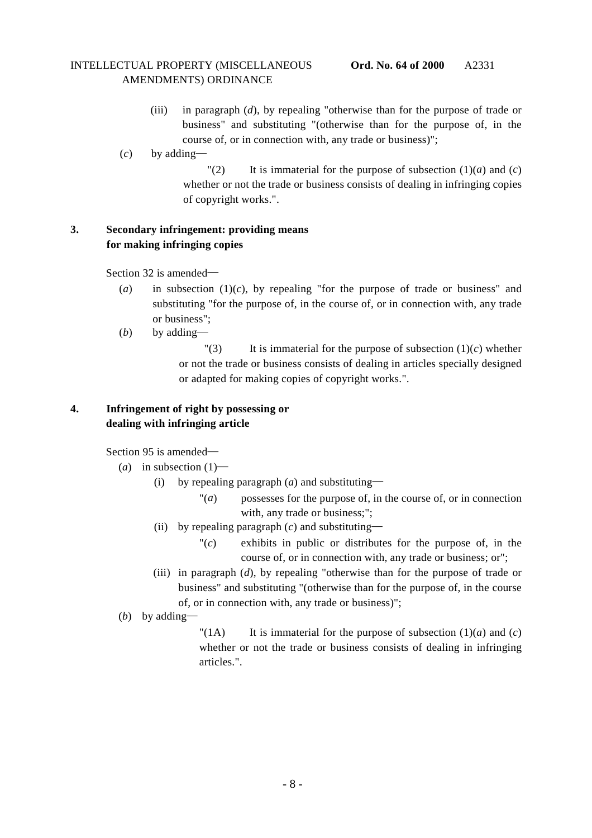### INTELLECTUAL PROPERTY (MISCELLANEOUS **Ord. No. 64 of 2000** A2331 AMENDMENTS) ORDINANCE

- (iii) in paragraph (*d*), by repealing "otherwise than for the purpose of trade or business" and substituting "(otherwise than for the purpose of, in the course of, or in connection with, any trade or business)";
- (*c*) by adding―

"(2) It is immaterial for the purpose of subsection  $(1)(a)$  and  $(c)$ whether or not the trade or business consists of dealing in infringing copies of copyright works.".

### **3. Secondary infringement: providing means for making infringing copies**

Section 32 is amended―

- (*a*) in subsection  $(1)(c)$ , by repealing "for the purpose of trade or business" and substituting "for the purpose of, in the course of, or in connection with, any trade or business";
- (*b*) by adding―

 $\Gamma(3)$  It is immaterial for the purpose of subsection  $(1)(c)$  whether or not the trade or business consists of dealing in articles specially designed or adapted for making copies of copyright works.".

### **4. Infringement of right by possessing or dealing with infringing article**

Section 95 is amended―

- (*a*) in subsection  $(1)$ 
	- (i) by repealing paragraph (*a*) and substituting―
		- $\Gamma(a)$  possesses for the purpose of, in the course of, or in connection with, any trade or business:":
	- (ii) by repealing paragraph (*c*) and substituting―
		- "(*c*) exhibits in public or distributes for the purpose of, in the course of, or in connection with, any trade or business; or";
	- (iii) in paragraph (*d*), by repealing "otherwise than for the purpose of trade or business" and substituting "(otherwise than for the purpose of, in the course of, or in connection with, any trade or business)";

(*b*) by adding―

"(1A) It is immaterial for the purpose of subsection  $(1)(a)$  and  $(c)$ whether or not the trade or business consists of dealing in infringing articles.".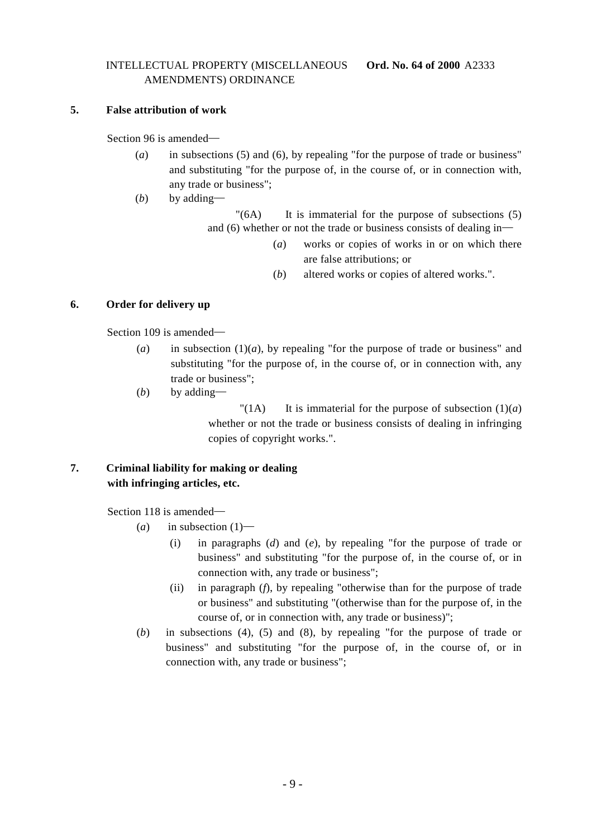### INTELLECTUAL PROPERTY (MISCELLANEOUS **Ord. No. 64 of 2000** A2333 AMENDMENTS) ORDINANCE

#### **5. False attribution of work**

Section 96 is amended―

- (*a*) in subsections (5) and (6), by repealing "for the purpose of trade or business" and substituting "for the purpose of, in the course of, or in connection with, any trade or business";
- (*b*) by adding―

 $\Gamma(6A)$  It is immaterial for the purpose of subsections (5) and (6) whether or not the trade or business consists of dealing in―

- (*a*) works or copies of works in or on which there are false attributions; or
- (*b*) altered works or copies of altered works.".

#### **6. Order for delivery up**

Section 109 is amended―

- (*a*) in subsection (1)(*a*), by repealing "for the purpose of trade or business" and substituting "for the purpose of, in the course of, or in connection with, any trade or business";
- (*b*) by adding―

"(1A) It is immaterial for the purpose of subsection  $(1)(a)$ whether or not the trade or business consists of dealing in infringing copies of copyright works.".

### **7. Criminal liability for making or dealing with infringing articles, etc.**

Section 118 is amended―

- $(a)$  in subsection  $(1)$ 
	- (i) in paragraphs (*d*) and (*e*), by repealing "for the purpose of trade or business" and substituting "for the purpose of, in the course of, or in connection with, any trade or business";
	- (ii) in paragraph (*f*), by repealing "otherwise than for the purpose of trade or business" and substituting "(otherwise than for the purpose of, in the course of, or in connection with, any trade or business)";
- (*b*) in subsections (4), (5) and (8), by repealing "for the purpose of trade or business" and substituting "for the purpose of, in the course of, or in connection with, any trade or business";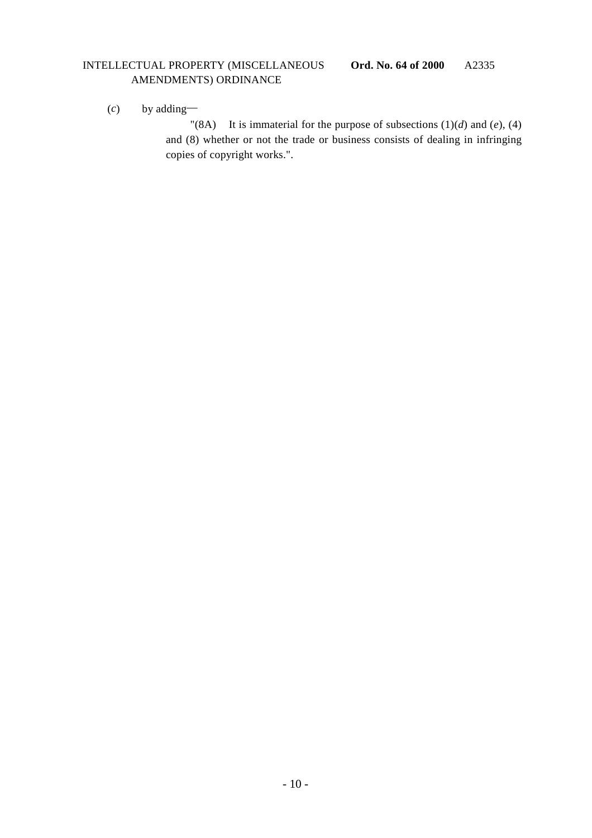### INTELLECTUAL PROPERTY (MISCELLANEOUS **Ord. No. 64 of 2000** A2335 AMENDMENTS) ORDINANCE

(*c*) by adding―

"(8A) It is immaterial for the purpose of subsections  $(1)(d)$  and  $(e)$ ,  $(4)$ and (8) whether or not the trade or business consists of dealing in infringing copies of copyright works.".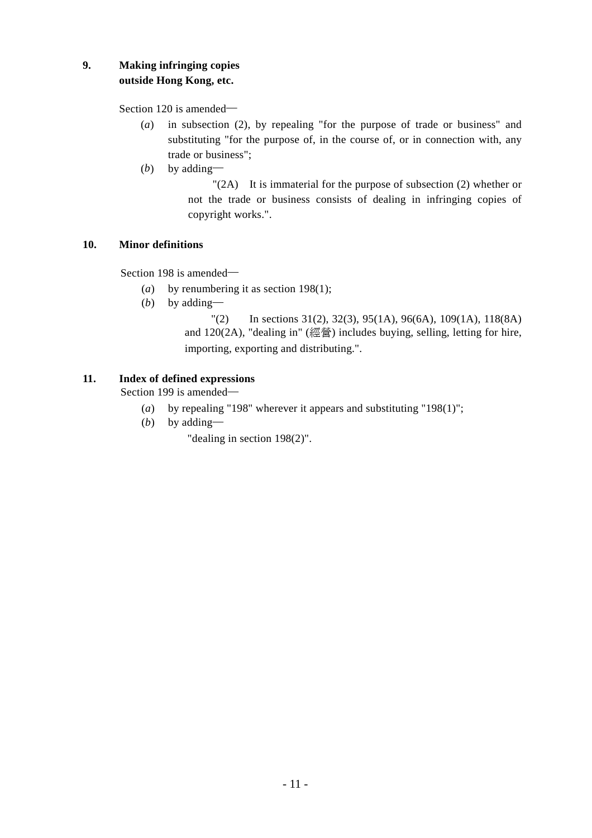### **9. Making infringing copies outside Hong Kong, etc.**

Section 120 is amended―

- (*a*) in subsection (2), by repealing "for the purpose of trade or business" and substituting "for the purpose of, in the course of, or in connection with, any trade or business";
- (*b*) by adding―

"(2A) It is immaterial for the purpose of subsection (2) whether or not the trade or business consists of dealing in infringing copies of copyright works.".

### **10. Minor definitions**

Section 198 is amended―

- (*a*) by renumbering it as section 198(1);
- (*b*) by adding―

 $(2)$  In sections 31(2), 32(3), 95(1A), 96(6A), 109(1A), 118(8A) and 120(2A), "dealing in" (經營) includes buying, selling, letting for hire, importing, exporting and distributing.".

### **11. Index of defined expressions**

Section 199 is amended―

- (*a*) by repealing "198" wherever it appears and substituting "198(1)";
- (*b*) by adding―

"dealing in section 198(2)".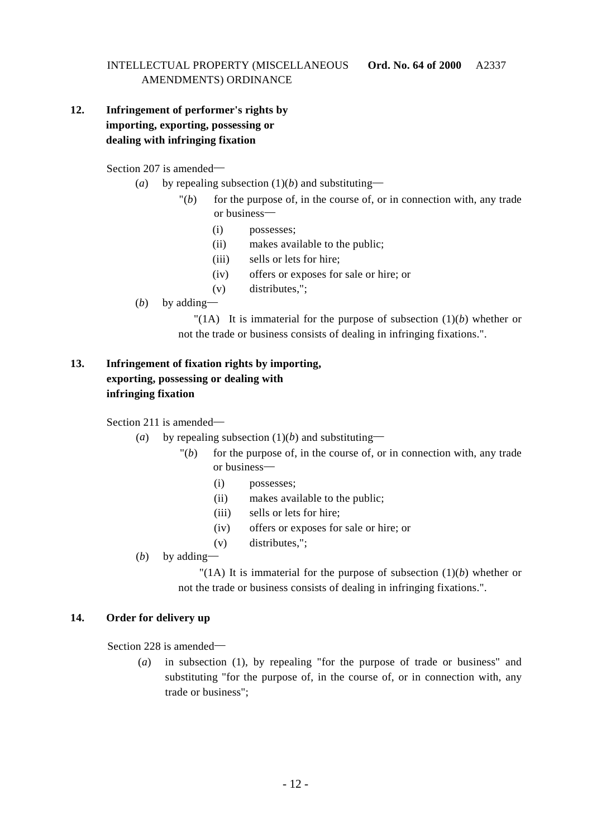### **12. Infringement of performer's rights by importing, exporting, possessing or dealing with infringing fixation**

Section 207 is amended―

- (*a*) by repealing subsection  $(1)(b)$  and substituting—
	- $\mathcal{L}(b)$  for the purpose of, in the course of, or in connection with, any trade or business―
		- (i) possesses;
		- (ii) makes available to the public;
		- (iii) sells or lets for hire;
		- (iv) offers or exposes for sale or hire; or
		- (v) distributes,";
- (*b*) by adding―

"(1A) It is immaterial for the purpose of subsection  $(1)(b)$  whether or not the trade or business consists of dealing in infringing fixations.".

### **13. Infringement of fixation rights by importing, exporting, possessing or dealing with infringing fixation**

Section 211 is amended―

- (*a*) by repealing subsection (1)(*b*) and substituting―
	- $\mathcal{L}(b)$  for the purpose of, in the course of, or in connection with, any trade or business―
		- (i) possesses;
		- (ii) makes available to the public;
		- (iii) sells or lets for hire;
		- (iv) offers or exposes for sale or hire; or
		- (v) distributes,";
- (*b*) by adding-

"(1A) It is immaterial for the purpose of subsection (1)(*b*) whether or not the trade or business consists of dealing in infringing fixations.".

#### **14. Order for delivery up**

Section 228 is amended―

(*a*) in subsection (1), by repealing "for the purpose of trade or business" and substituting "for the purpose of, in the course of, or in connection with, any trade or business";